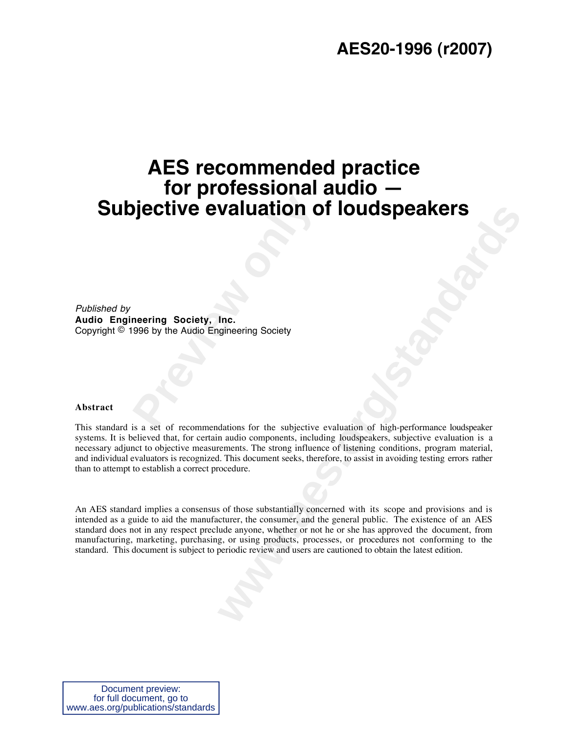## **AES recommended practice for professional audio — Subjective evaluation of loudspeakers**

**Previous Evaluation of Previous Avenue Concerns Society, Inc.<br>
Page by the Audio Engineering Society<br>
Page of the Audio Engineering Society<br>
Page of the subjective** Published by **Audio Engineering Society, Inc.** Copyright © 1996 by the Audio Engineering Society

#### **Abstract**

This standard is a set of recommendations for the subjective evaluation of high-performance loudspeaker systems. It is believed that, for certain audio components, including loudspeakers, subjective evaluation is a necessary adjunct to objective measurements. The strong influence of listening conditions, program material, and individual evaluators is recognized. This document seeks, therefore, to assist in avoiding testing errors rather than to attempt to establish a correct procedure.

**WAILIATION OT IOUIGSPEAKETS**<br>
Inc.<br>
Inc.<br>
Ingineering Society<br>
dations for the subjective evaluation of high-performance loudspeaker<br>
an aido components, including loudspeakers, subjective evaluation is a<br>
rements. The st An AES standard implies a consensus of those substantially concerned with its scope and provisions and is intended as a guide to aid the manufacturer, the consumer, and the general public. The existence of an AES standard does not in any respect preclude anyone, whether or not he or she has approved the document, from manufacturing, marketing, purchasing, or using products, processes, or procedures not conforming to the standard. This document is subject to periodic review and users are cautioned to obtain the latest edition.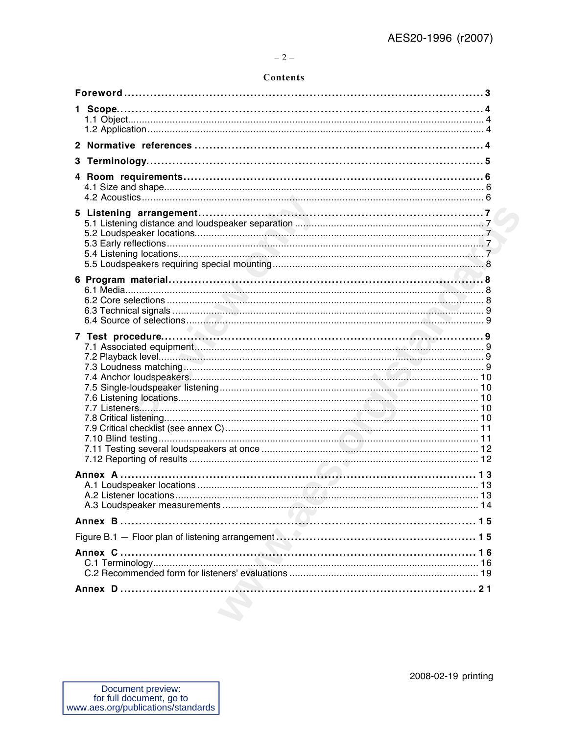## **Contents**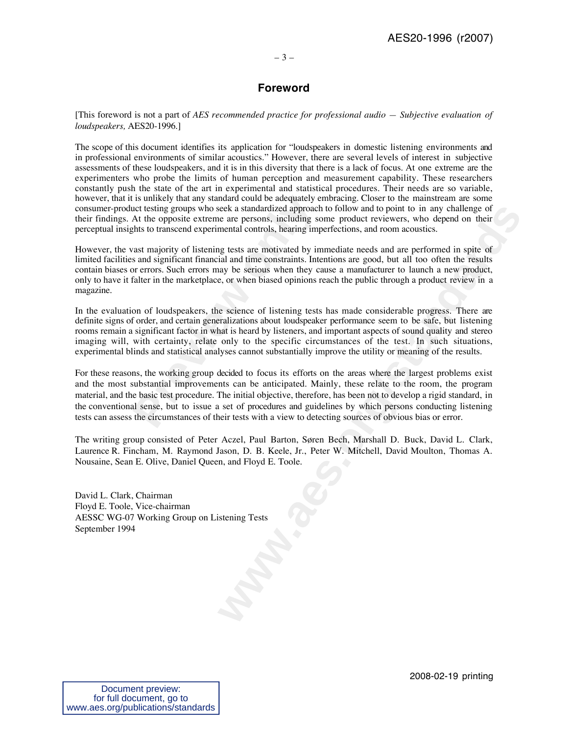## – 3 –

## **Foreword**

[This foreword is not a part of *AES recommended practice for professional audio — Subjective evaluation of loudspeakers,* AES20-1996.]

The scope of this document identifies its application for "loudspeakers in domestic listening environments and in professional environments of similar acoustics." However, there are several levels of interest in subjective assessments of these loudspeakers, and it is in this diversity that there is a lack of focus. At one extreme are the experimenters who probe the limits of human perception and measurement capability. These researchers constantly push the state of the art in experimental and statistical procedures. Their needs are so variable, however, that it is unlikely that any standard could be adequately embracing. Closer to the mainstream are some consumer-product testing groups who seek a standardized approach to follow and to point to in any challenge of their findings. At the opposite extreme are persons, including some product reviewers, who depend on their perceptual insights to transcend experimental controls, hearing imperfections, and room acoustics.

However, the vast majority of listening tests are motivated by immediate needs and are performed in spite of limited facilities and significant financial and time constraints. Intentions are good, but all too often the results contain biases or errors. Such errors may be serious when they cause a manufacturer to launch a new product, only to have it falter in the marketplace, or when biased opinions reach the public through a product review in a magazine.

In the evaluation of loudspeakers, the science of listening tests has made considerable progress. There are definite signs of order, and certain generalizations about loudspeaker performance seem to be safe, but listening rooms remain a significant factor in what is heard by listeners, and important aspects of sound quality and stereo imaging will, with certainty, relate only to the specific circumstances of the test. In such situations, experimental blinds and statistical analyses cannot substantially improve the utility or meaning of the results.

is unlikely that any standard could be adequately euct testing groups who seek a standardized approach At the opposite extreme are persons, including so thts to transcend experimental controls, hearing impast majority of l seck as standardized approach to follow and to point to in any challenge of the care persons, including some product reviewers, who depend their mental controls, hearing imperfections, and room acoustics.<br>In each controls, For these reasons, the working group decided to focus its efforts on the areas where the largest problems exist and the most substantial improvements can be anticipated. Mainly, these relate to the room, the program material, and the basic test procedure. The initial objective, therefore, has been not to develop a rigid standard, in the conventional sense, but to issue a set of procedures and guidelines by which persons conducting listening tests can assess the circumstances of their tests with a view to detecting sources of obvious bias or error.

The writing group consisted of Peter Aczel, Paul Barton, Søren Bech, Marshall D. Buck, David L. Clark, Laurence R. Fincham, M. Raymond Jason, D. B. Keele, Jr., Peter W. Mitchell, David Moulton, Thomas A. Nousaine, Sean E. Olive, Daniel Queen, and Floyd E. Toole.

David L. Clark, Chairman Floyd E. Toole, Vice-chairman AESSC WG-07 Working Group on Listening Tests September 1994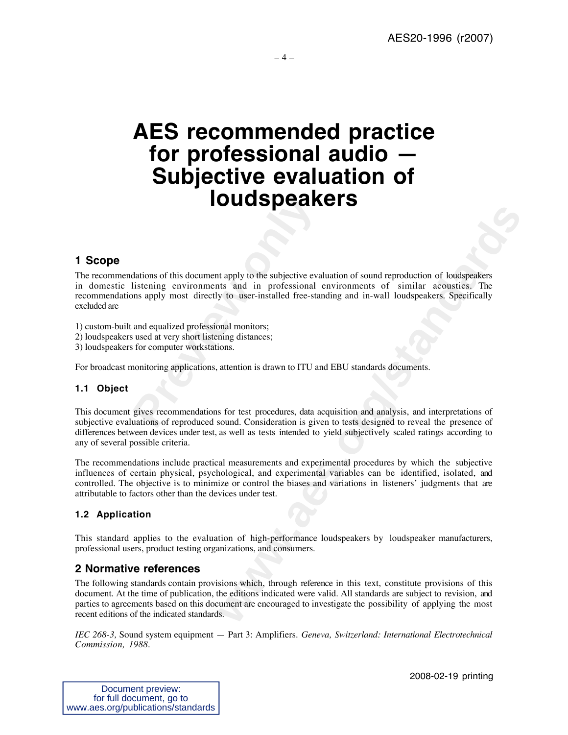# **AES recommended practice for professional audio — Subjective evaluation of loudspeakers**

## **1 Scope**

**PREVIATE:**<br>
dations of this document apply to the subjective evaluatening environments and in professional ons apply most directly to user-installed free-star<br>
and equalized professional monitors;<br>
used at very short list **Example 18 CONSTRANGES**<br> **Examply to the subjective evaluation of sound reproduction of loudspeakers**<br> **We substandard in professional environments of similar acoustics. The<br>
propose is and in professional environments of** The recommendations of this document apply to the subjective evaluation of sound reproduction of loudspeakers in domestic listening environments and in professional environments of similar acoustics. The recommendations apply most directly to user-installed free-standing and in-wall loudspeakers. Specifically excluded are

1) custom-built and equalized professional monitors;

2) loudspeakers used at very short listening distances;

3) loudspeakers for computer workstations.

For broadcast monitoring applications, attention is drawn to ITU and EBU standards documents.

## **1.1 Object**

This document gives recommendations for test procedures, data acquisition and analysis, and interpretations of subjective evaluations of reproduced sound. Consideration is given to tests designed to reveal the presence of differences between devices under test, as well as tests intended to yield subjectively scaled ratings according to any of several possible criteria.

The recommendations include practical measurements and experimental procedures by which the subjective influences of certain physical, psychological, and experimental variables can be identified, isolated, and controlled. The objective is to minimize or control the biases and variations in listeners' judgments that are attributable to factors other than the devices under test.

## **1.2 Application**

This standard applies to the evaluation of high-performance loudspeakers by loudspeaker manufacturers, professional users, product testing organizations, and consumers.

## **2 Normative references**

The following standards contain provisions which, through reference in this text, constitute provisions of this document. At the time of publication, the editions indicated were valid. All standards are subject to revision, and parties to agreements based on this document are encouraged to investigate the possibility of applying the most recent editions of the indicated standards.

*IEC 268-3,* Sound system equipment — Part 3: Amplifiers*. Geneva, Switzerland: International Electrotechnical Commission, 1988.*

2008-02-19 printing

| Document preview:                  |
|------------------------------------|
| for full document, go to           |
| www.aes.org/publications/standards |